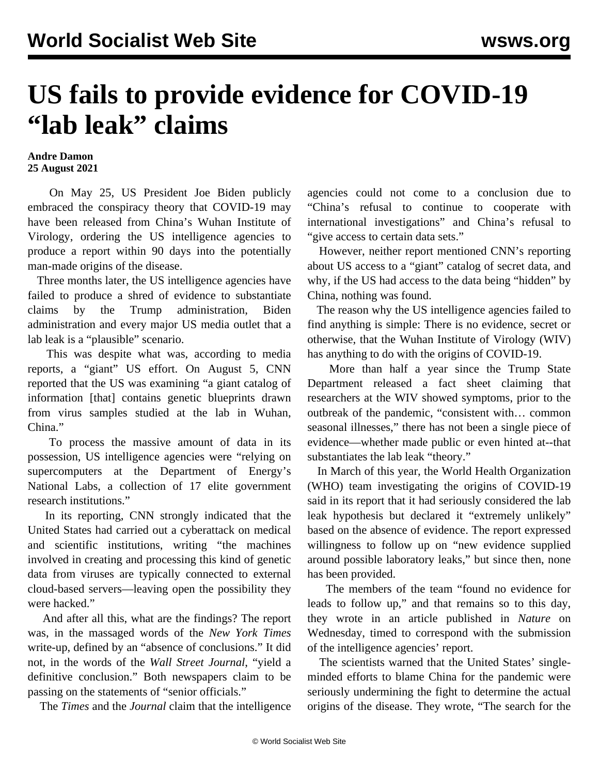## **US fails to provide evidence for COVID-19 "lab leak" claims**

## **Andre Damon 25 August 2021**

 On May 25, US President Joe Biden publicly embraced the conspiracy theory that COVID-19 may have been released from China's Wuhan Institute of Virology, ordering the US intelligence agencies to produce a report within 90 days into the potentially man-made origins of the disease.

 Three months later, the US intelligence agencies have failed to produce a shred of evidence to substantiate claims by the Trump administration, Biden administration and every major US media outlet that a lab leak is a "plausible" scenario.

 This was despite what was, according to media reports, a "giant" US effort. On August 5, CNN reported that the US was examining "a giant catalog of information [that] contains genetic blueprints drawn from virus samples studied at the lab in Wuhan, China."

 To process the massive amount of data in its possession, US intelligence agencies were "relying on supercomputers at the Department of Energy's National Labs, a collection of 17 elite government research institutions."

 In its reporting, CNN strongly indicated that the United States had carried out a cyberattack on medical and scientific institutions, writing "the machines involved in creating and processing this kind of genetic data from viruses are typically connected to external cloud-based servers—leaving open the possibility they were hacked."

 And after all this, what are the findings? The report was, in the massaged words of the *New York Times* write-up, defined by an "absence of conclusions." It did not, in the words of the *Wall Street Journal*, "yield a definitive conclusion." Both newspapers claim to be passing on the statements of "senior officials."

The *Times* and the *Journal* claim that the intelligence

agencies could not come to a conclusion due to "China's refusal to continue to cooperate with international investigations" and China's refusal to "give access to certain data sets."

 However, neither report mentioned CNN's reporting about US access to a "giant" catalog of secret data, and why, if the US had access to the data being "hidden" by China, nothing was found.

 The reason why the US intelligence agencies failed to find anything is simple: There is no evidence, secret or otherwise, that the Wuhan Institute of Virology (WIV) has anything to do with the origins of COVID-19.

 More than half a year since the Trump State Department released a fact sheet claiming that researchers at the WIV showed symptoms, prior to the outbreak of the pandemic, "consistent with… common seasonal illnesses," there has not been a single piece of evidence—whether made public or even hinted at--that substantiates the lab leak "theory."

 In March of this year, the World Health Organization (WHO) team investigating the origins of COVID-19 said in its report that it had seriously considered the lab leak hypothesis but declared it "extremely unlikely" based on the absence of evidence. The report expressed willingness to follow up on "new evidence supplied around possible laboratory leaks," but since then, none has been provided.

 The members of the team "found no evidence for leads to follow up," and that remains so to this day, they wrote in an article published in *[Nature](https://www.nature.com/articles/d41586-021-02263-6)* on Wednesday, timed to correspond with the submission of the intelligence agencies' report.

 The scientists warned that the United States' singleminded efforts to blame China for the pandemic were seriously undermining the fight to determine the actual origins of the disease. They wrote, "The search for the